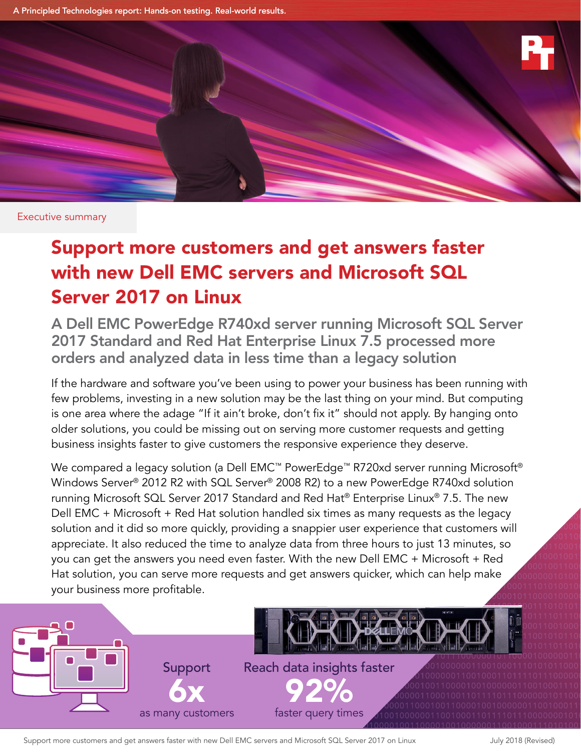A Principled Technologies report: Hands-on testing. Real-world results.



Executive summary

# Support more customers and get answers faster with new Dell EMC servers and Microsoft SQL Server 2017 on Linux

A Dell EMC PowerEdge R740xd server running Microsoft SQL Server 2017 Standard and Red Hat Enterprise Linux 7.5 processed more orders and analyzed data in less time than a legacy solution

If the hardware and software you've been using to power your business has been running with  $\overline{a}$ few problems, investing in a new solution may be the last thing on your mind. But computing is one area where the adage "If it ain't broke, don't fix it" should not apply. By hanging onto  $\overline{0}$ **g** older solutions, you could be missing out on serving more customer requests and getting business insights faster to give customers the responsive experience they deserve.

 $\overline{\mathcal{O}}$ We compared a legacy solution (a Dell EMC™ PowerEdge™ R720xd server running Microsoft®  $\lim_{n\to\infty}$  $11011$  $\partial$  $0<sup>1</sup>$  $10<sub>0</sub>$ solution and it did so more quickly, providing a snappier user experience that customers will source the state **001100**  $SO = 01100010$  $\mathsf{d}$  1100010011 100010011000 Windows Server® 2012 R2 with SQL Server® 2008 R2) to a new PowerEdge R740xd solution running Microsoft SQL Server 2017 Standard and Red Hat® Enterprise Linux® 7.5. The new Dell EMC + Microsoft + Red Hat solution handled six times as many requests as the legacy appreciate. It also reduced the time to analyze data from three hours to just 13 minutes, so you can get the answers you need even faster. With the new Dell EMC + Microsoft + Red Hat solution, you can serve more requests and get answers quicker, which can help make your business more profitable.



Support more customers and get answers faster with new Dell EMC servers and Microsoft SQL Server 2017 on Linux July 2018 (Revised)